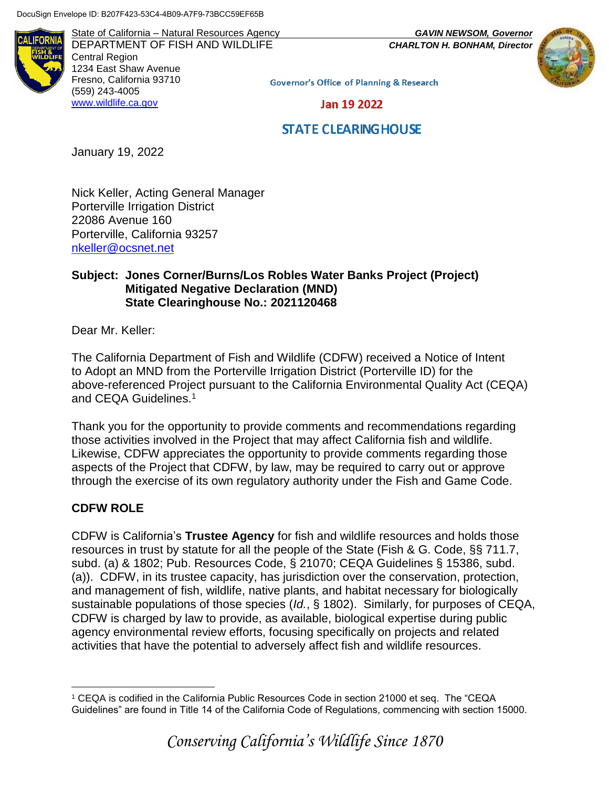AI IFORNI

State of California – Natural Resources Agency *GAVIN NEWSOM, Governor* DEPARTMENT OF FISH AND WILDLIFE *CHARLTON H. BONHAM, Director* Central Region 1234 East Shaw Avenue Fresno, California 93710 (559) 243-4005 [www.wildlife.ca.gov](http://www.wildlife.ca.gov/)



**Governor's Office of Planning & Research** 

Jan 19 2022

# **STATE CLEARING HOUSE**

January 19, 2022

Nick Keller, Acting General Manager Porterville Irrigation District 22086 Avenue 160 Porterville, California 93257 [nkeller@ocsnet.net](mailto:nkeller@ocsnet.net)

### **Subject: Jones Corner/Burns/Los Robles Water Banks Project (Project) Mitigated Negative Declaration (MND) State Clearinghouse No.: 2021120468**

Dear Mr. Keller:

The California Department of Fish and Wildlife (CDFW) received a Notice of Intent to Adopt an MND from the Porterville Irrigation District (Porterville ID) for the above-referenced Project pursuant to the California Environmental Quality Act (CEQA) and CEQA Guidelines.<sup>1</sup>

Thank you for the opportunity to provide comments and recommendations regarding those activities involved in the Project that may affect California fish and wildlife. Likewise, CDFW appreciates the opportunity to provide comments regarding those aspects of the Project that CDFW, by law, may be required to carry out or approve through the exercise of its own regulatory authority under the Fish and Game Code.

# **CDFW ROLE**

CDFW is California's **Trustee Agency** for fish and wildlife resources and holds those resources in trust by statute for all the people of the State (Fish & G. Code, §§ 711.7, subd. (a) & 1802; Pub. Resources Code, § 21070; CEQA Guidelines § 15386, subd. (a)). CDFW, in its trustee capacity, has jurisdiction over the conservation, protection, and management of fish, wildlife, native plants, and habitat necessary for biologically sustainable populations of those species (*Id.*, § 1802). Similarly, for purposes of CEQA, CDFW is charged by law to provide, as available, biological expertise during public agency environmental review efforts, focusing specifically on projects and related activities that have the potential to adversely affect fish and wildlife resources.

 $\overline{a}$ <sup>1</sup> CEQA is codified in the California Public Resources Code in section 21000 et seq. The "CEQA Guidelines" are found in Title 14 of the California Code of Regulations, commencing with section 15000.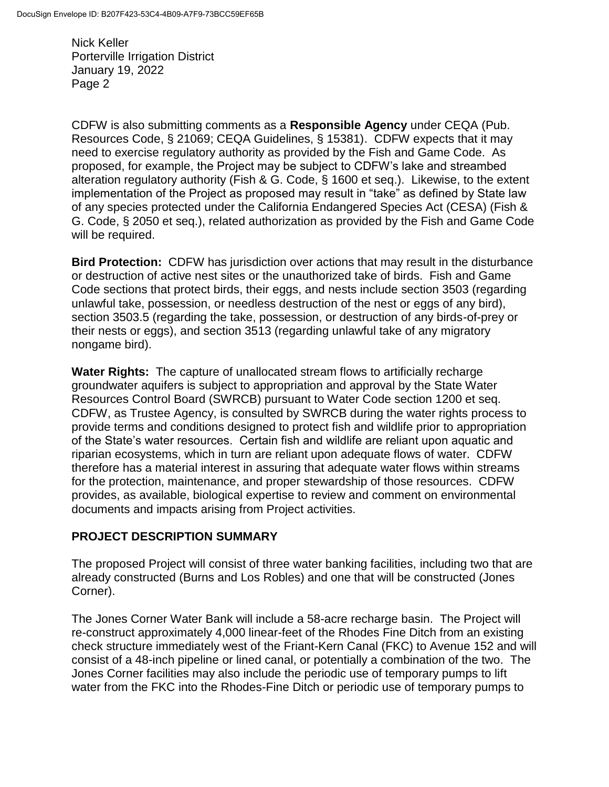CDFW is also submitting comments as a **Responsible Agency** under CEQA (Pub. Resources Code, § 21069; CEQA Guidelines, § 15381). CDFW expects that it may need to exercise regulatory authority as provided by the Fish and Game Code. As proposed, for example, the Project may be subject to CDFW's lake and streambed alteration regulatory authority (Fish & G. Code, § 1600 et seq.). Likewise, to the extent implementation of the Project as proposed may result in "take" as defined by State law of any species protected under the California Endangered Species Act (CESA) (Fish & G. Code, § 2050 et seq.), related authorization as provided by the Fish and Game Code will be required.

**Bird Protection:** CDFW has jurisdiction over actions that may result in the disturbance or destruction of active nest sites or the unauthorized take of birds. Fish and Game Code sections that protect birds, their eggs, and nests include section 3503 (regarding unlawful take, possession, or needless destruction of the nest or eggs of any bird), section 3503.5 (regarding the take, possession, or destruction of any birds-of-prey or their nests or eggs), and section 3513 (regarding unlawful take of any migratory nongame bird).

**Water Rights:** The capture of unallocated stream flows to artificially recharge groundwater aquifers is subject to appropriation and approval by the State Water Resources Control Board (SWRCB) pursuant to Water Code section 1200 et seq. CDFW, as Trustee Agency, is consulted by SWRCB during the water rights process to provide terms and conditions designed to protect fish and wildlife prior to appropriation of the State's water resources. Certain fish and wildlife are reliant upon aquatic and riparian ecosystems, which in turn are reliant upon adequate flows of water. CDFW therefore has a material interest in assuring that adequate water flows within streams for the protection, maintenance, and proper stewardship of those resources. CDFW provides, as available, biological expertise to review and comment on environmental documents and impacts arising from Project activities.

# **PROJECT DESCRIPTION SUMMARY**

The proposed Project will consist of three water banking facilities, including two that are already constructed (Burns and Los Robles) and one that will be constructed (Jones Corner).

The Jones Corner Water Bank will include a 58-acre recharge basin. The Project will re-construct approximately 4,000 linear-feet of the Rhodes Fine Ditch from an existing check structure immediately west of the Friant-Kern Canal (FKC) to Avenue 152 and will consist of a 48-inch pipeline or lined canal, or potentially a combination of the two. The Jones Corner facilities may also include the periodic use of temporary pumps to lift water from the FKC into the Rhodes-Fine Ditch or periodic use of temporary pumps to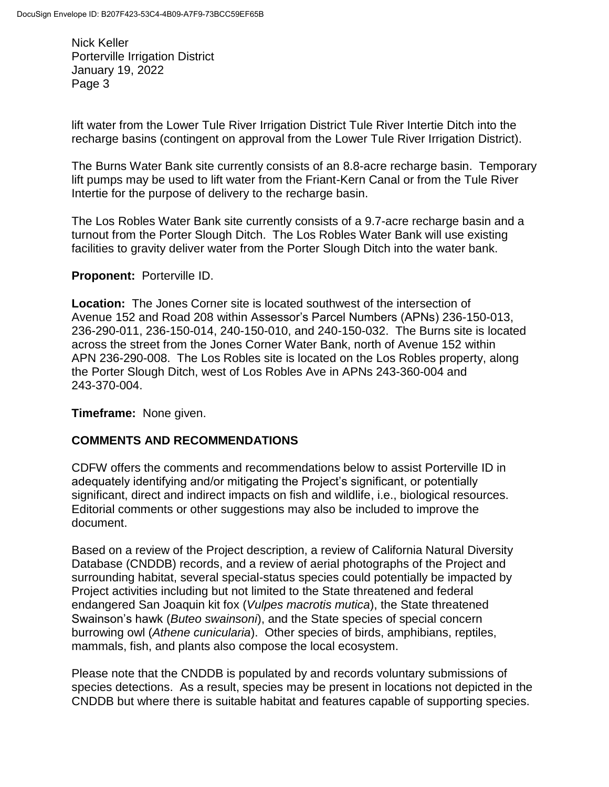lift water from the Lower Tule River Irrigation District Tule River Intertie Ditch into the recharge basins (contingent on approval from the Lower Tule River Irrigation District).

The Burns Water Bank site currently consists of an 8.8-acre recharge basin. Temporary lift pumps may be used to lift water from the Friant-Kern Canal or from the Tule River Intertie for the purpose of delivery to the recharge basin.

The Los Robles Water Bank site currently consists of a 9.7-acre recharge basin and a turnout from the Porter Slough Ditch. The Los Robles Water Bank will use existing facilities to gravity deliver water from the Porter Slough Ditch into the water bank.

### **Proponent:** Porterville ID.

**Location:** The Jones Corner site is located southwest of the intersection of Avenue 152 and Road 208 within Assessor's Parcel Numbers (APNs) 236-150-013, 236-290-011, 236-150-014, 240-150-010, and 240-150-032. The Burns site is located across the street from the Jones Corner Water Bank, north of Avenue 152 within APN 236-290-008. The Los Robles site is located on the Los Robles property, along the Porter Slough Ditch, west of Los Robles Ave in APNs 243-360-004 and 243-370-004.

**Timeframe:** None given.

# **COMMENTS AND RECOMMENDATIONS**

CDFW offers the comments and recommendations below to assist Porterville ID in adequately identifying and/or mitigating the Project's significant, or potentially significant, direct and indirect impacts on fish and wildlife, i.e., biological resources. Editorial comments or other suggestions may also be included to improve the document.

Based on a review of the Project description, a review of California Natural Diversity Database (CNDDB) records, and a review of aerial photographs of the Project and surrounding habitat, several special-status species could potentially be impacted by Project activities including but not limited to the State threatened and federal endangered San Joaquin kit fox (*Vulpes macrotis mutica*), the State threatened Swainson's hawk (*Buteo swainsoni*), and the State species of special concern burrowing owl (*Athene cunicularia*). Other species of birds, amphibians, reptiles, mammals, fish, and plants also compose the local ecosystem.

Please note that the CNDDB is populated by and records voluntary submissions of species detections. As a result, species may be present in locations not depicted in the CNDDB but where there is suitable habitat and features capable of supporting species.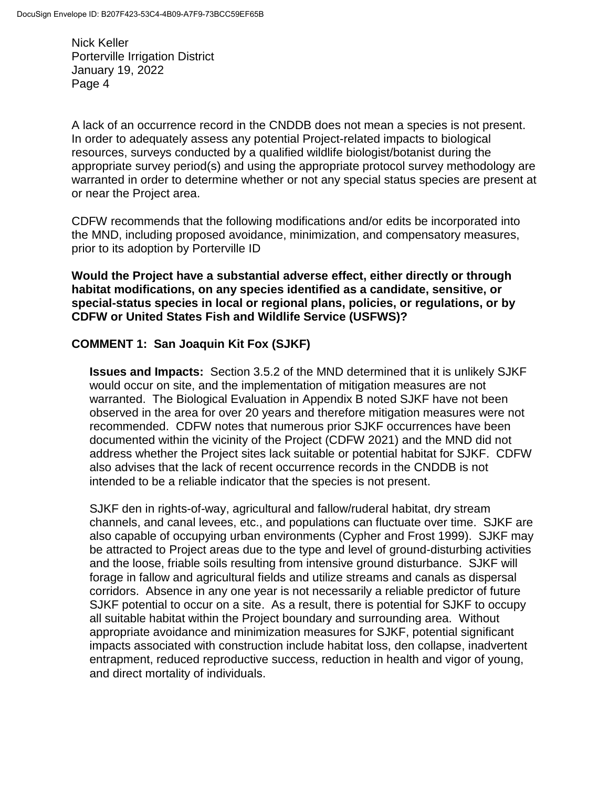A lack of an occurrence record in the CNDDB does not mean a species is not present. In order to adequately assess any potential Project-related impacts to biological resources, surveys conducted by a qualified wildlife biologist/botanist during the appropriate survey period(s) and using the appropriate protocol survey methodology are warranted in order to determine whether or not any special status species are present at or near the Project area.

CDFW recommends that the following modifications and/or edits be incorporated into the MND, including proposed avoidance, minimization, and compensatory measures, prior to its adoption by Porterville ID

**Would the Project have a substantial adverse effect, either directly or through habitat modifications, on any species identified as a candidate, sensitive, or special-status species in local or regional plans, policies, or regulations, or by CDFW or United States Fish and Wildlife Service (USFWS)?**

### **COMMENT 1: San Joaquin Kit Fox (SJKF)**

**Issues and Impacts:** Section 3.5.2 of the MND determined that it is unlikely SJKF would occur on site, and the implementation of mitigation measures are not warranted. The Biological Evaluation in Appendix B noted SJKF have not been observed in the area for over 20 years and therefore mitigation measures were not recommended. CDFW notes that numerous prior SJKF occurrences have been documented within the vicinity of the Project (CDFW 2021) and the MND did not address whether the Project sites lack suitable or potential habitat for SJKF. CDFW also advises that the lack of recent occurrence records in the CNDDB is not intended to be a reliable indicator that the species is not present.

SJKF den in rights-of-way, agricultural and fallow/ruderal habitat, dry stream channels, and canal levees, etc., and populations can fluctuate over time. SJKF are also capable of occupying urban environments (Cypher and Frost 1999). SJKF may be attracted to Project areas due to the type and level of ground-disturbing activities and the loose, friable soils resulting from intensive ground disturbance. SJKF will forage in fallow and agricultural fields and utilize streams and canals as dispersal corridors. Absence in any one year is not necessarily a reliable predictor of future SJKF potential to occur on a site. As a result, there is potential for SJKF to occupy all suitable habitat within the Project boundary and surrounding area. Without appropriate avoidance and minimization measures for SJKF, potential significant impacts associated with construction include habitat loss, den collapse, inadvertent entrapment, reduced reproductive success, reduction in health and vigor of young, and direct mortality of individuals.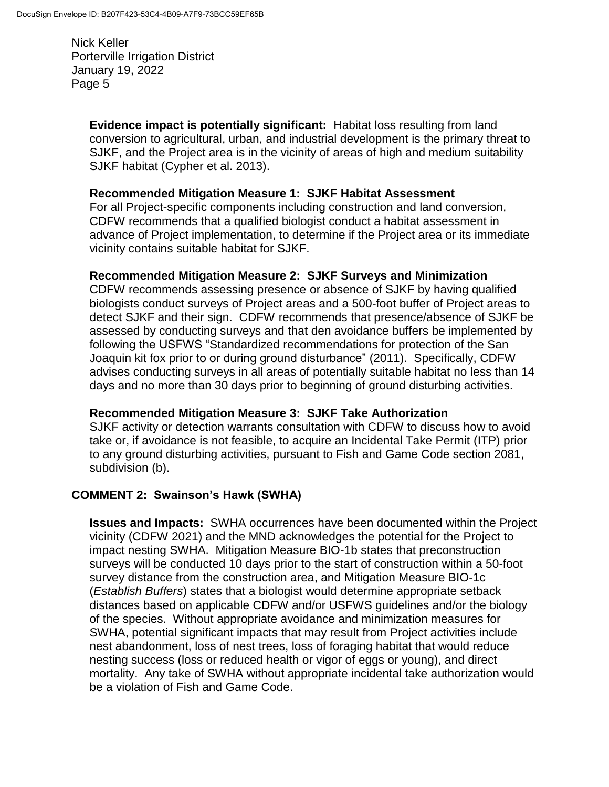> **Evidence impact is potentially significant:** Habitat loss resulting from land conversion to agricultural, urban, and industrial development is the primary threat to SJKF, and the Project area is in the vicinity of areas of high and medium suitability SJKF habitat (Cypher et al. 2013).

### **Recommended Mitigation Measure 1: SJKF Habitat Assessment**

For all Project-specific components including construction and land conversion, CDFW recommends that a qualified biologist conduct a habitat assessment in advance of Project implementation, to determine if the Project area or its immediate vicinity contains suitable habitat for SJKF.

# **Recommended Mitigation Measure 2: SJKF Surveys and Minimization**

CDFW recommends assessing presence or absence of SJKF by having qualified biologists conduct surveys of Project areas and a 500-foot buffer of Project areas to detect SJKF and their sign. CDFW recommends that presence/absence of SJKF be assessed by conducting surveys and that den avoidance buffers be implemented by following the USFWS "Standardized recommendations for protection of the San Joaquin kit fox prior to or during ground disturbance" (2011). Specifically, CDFW advises conducting surveys in all areas of potentially suitable habitat no less than 14 days and no more than 30 days prior to beginning of ground disturbing activities.

# **Recommended Mitigation Measure 3: SJKF Take Authorization**

SJKF activity or detection warrants consultation with CDFW to discuss how to avoid take or, if avoidance is not feasible, to acquire an Incidental Take Permit (ITP) prior to any ground disturbing activities, pursuant to Fish and Game Code section 2081, subdivision (b).

### **COMMENT 2: Swainson's Hawk (SWHA)**

**Issues and Impacts:** SWHA occurrences have been documented within the Project vicinity (CDFW 2021) and the MND acknowledges the potential for the Project to impact nesting SWHA. Mitigation Measure BIO-1b states that preconstruction surveys will be conducted 10 days prior to the start of construction within a 50-foot survey distance from the construction area, and Mitigation Measure BIO-1c (*Establish Buffers*) states that a biologist would determine appropriate setback distances based on applicable CDFW and/or USFWS guidelines and/or the biology of the species. Without appropriate avoidance and minimization measures for SWHA, potential significant impacts that may result from Project activities include nest abandonment, loss of nest trees, loss of foraging habitat that would reduce nesting success (loss or reduced health or vigor of eggs or young), and direct mortality. Any take of SWHA without appropriate incidental take authorization would be a violation of Fish and Game Code.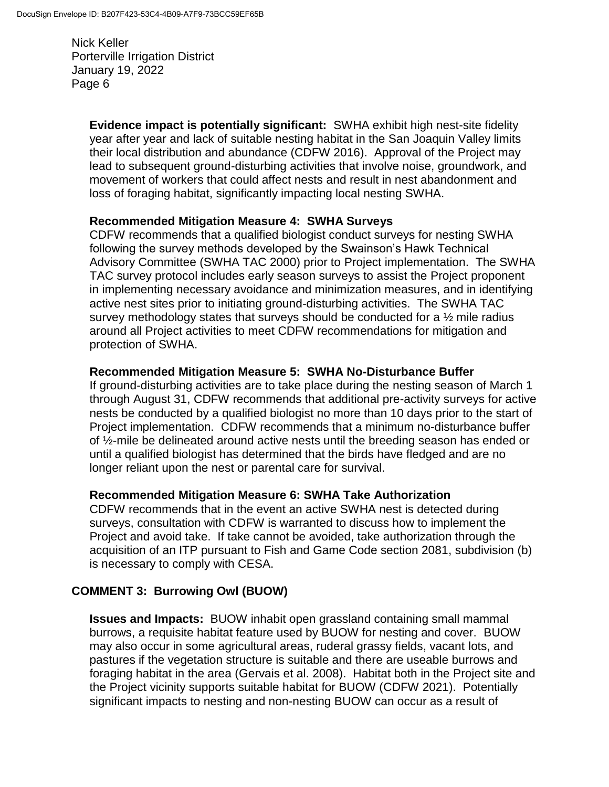> **Evidence impact is potentially significant:** SWHA exhibit high nest-site fidelity year after year and lack of suitable nesting habitat in the San Joaquin Valley limits their local distribution and abundance (CDFW 2016). Approval of the Project may lead to subsequent ground-disturbing activities that involve noise, groundwork, and movement of workers that could affect nests and result in nest abandonment and loss of foraging habitat, significantly impacting local nesting SWHA.

#### **Recommended Mitigation Measure 4: SWHA Surveys**

CDFW recommends that a qualified biologist conduct surveys for nesting SWHA following the survey methods developed by the Swainson's Hawk Technical Advisory Committee (SWHA TAC 2000) prior to Project implementation. The SWHA TAC survey protocol includes early season surveys to assist the Project proponent in implementing necessary avoidance and minimization measures, and in identifying active nest sites prior to initiating ground-disturbing activities. The SWHA TAC survey methodology states that surveys should be conducted for a  $\frac{1}{2}$  mile radius around all Project activities to meet CDFW recommendations for mitigation and protection of SWHA.

### **Recommended Mitigation Measure 5: SWHA No-Disturbance Buffer**

If ground-disturbing activities are to take place during the nesting season of March 1 through August 31, CDFW recommends that additional pre-activity surveys for active nests be conducted by a qualified biologist no more than 10 days prior to the start of Project implementation. CDFW recommends that a minimum no-disturbance buffer of ½-mile be delineated around active nests until the breeding season has ended or until a qualified biologist has determined that the birds have fledged and are no longer reliant upon the nest or parental care for survival.

### **Recommended Mitigation Measure 6: SWHA Take Authorization**

CDFW recommends that in the event an active SWHA nest is detected during surveys, consultation with CDFW is warranted to discuss how to implement the Project and avoid take. If take cannot be avoided, take authorization through the acquisition of an ITP pursuant to Fish and Game Code section 2081, subdivision (b) is necessary to comply with CESA.

### **COMMENT 3: Burrowing Owl (BUOW)**

**Issues and Impacts:** BUOW inhabit open grassland containing small mammal burrows, a requisite habitat feature used by BUOW for nesting and cover. BUOW may also occur in some agricultural areas, ruderal grassy fields, vacant lots, and pastures if the vegetation structure is suitable and there are useable burrows and foraging habitat in the area (Gervais et al. 2008). Habitat both in the Project site and the Project vicinity supports suitable habitat for BUOW (CDFW 2021). Potentially significant impacts to nesting and non-nesting BUOW can occur as a result of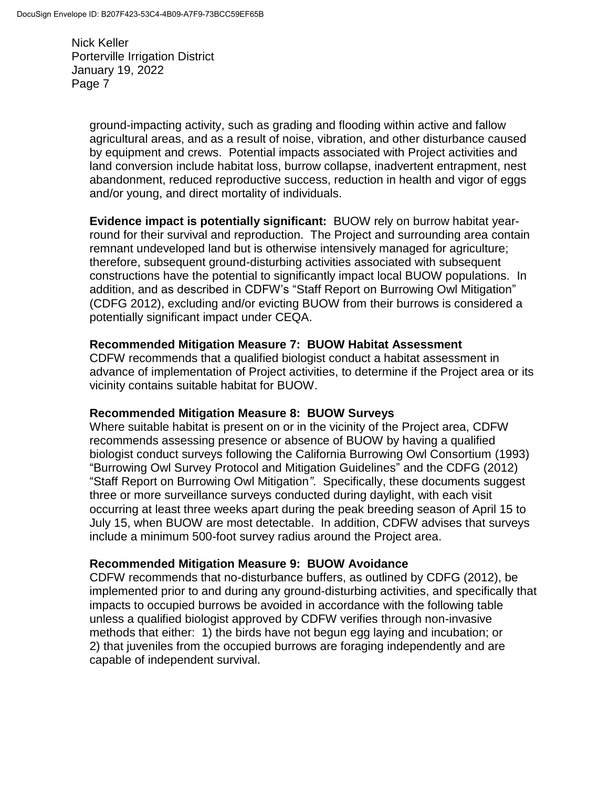> ground-impacting activity, such as grading and flooding within active and fallow agricultural areas, and as a result of noise, vibration, and other disturbance caused by equipment and crews. Potential impacts associated with Project activities and land conversion include habitat loss, burrow collapse, inadvertent entrapment, nest abandonment, reduced reproductive success, reduction in health and vigor of eggs and/or young, and direct mortality of individuals.

> **Evidence impact is potentially significant:** BUOW rely on burrow habitat yearround for their survival and reproduction. The Project and surrounding area contain remnant undeveloped land but is otherwise intensively managed for agriculture; therefore, subsequent ground-disturbing activities associated with subsequent constructions have the potential to significantly impact local BUOW populations. In addition, and as described in CDFW's "Staff Report on Burrowing Owl Mitigation" (CDFG 2012), excluding and/or evicting BUOW from their burrows is considered a potentially significant impact under CEQA.

#### **Recommended Mitigation Measure 7: BUOW Habitat Assessment**

CDFW recommends that a qualified biologist conduct a habitat assessment in advance of implementation of Project activities, to determine if the Project area or its vicinity contains suitable habitat for BUOW.

#### **Recommended Mitigation Measure 8: BUOW Surveys**

Where suitable habitat is present on or in the vicinity of the Project area, CDFW recommends assessing presence or absence of BUOW by having a qualified biologist conduct surveys following the California Burrowing Owl Consortium (1993) "Burrowing Owl Survey Protocol and Mitigation Guidelines" and the CDFG (2012) "Staff Report on Burrowing Owl Mitigation*"*. Specifically, these documents suggest three or more surveillance surveys conducted during daylight, with each visit occurring at least three weeks apart during the peak breeding season of April 15 to July 15, when BUOW are most detectable. In addition, CDFW advises that surveys include a minimum 500-foot survey radius around the Project area.

### **Recommended Mitigation Measure 9: BUOW Avoidance**

CDFW recommends that no-disturbance buffers, as outlined by CDFG (2012), be implemented prior to and during any ground-disturbing activities, and specifically that impacts to occupied burrows be avoided in accordance with the following table unless a qualified biologist approved by CDFW verifies through non-invasive methods that either: 1) the birds have not begun egg laying and incubation; or 2) that juveniles from the occupied burrows are foraging independently and are capable of independent survival.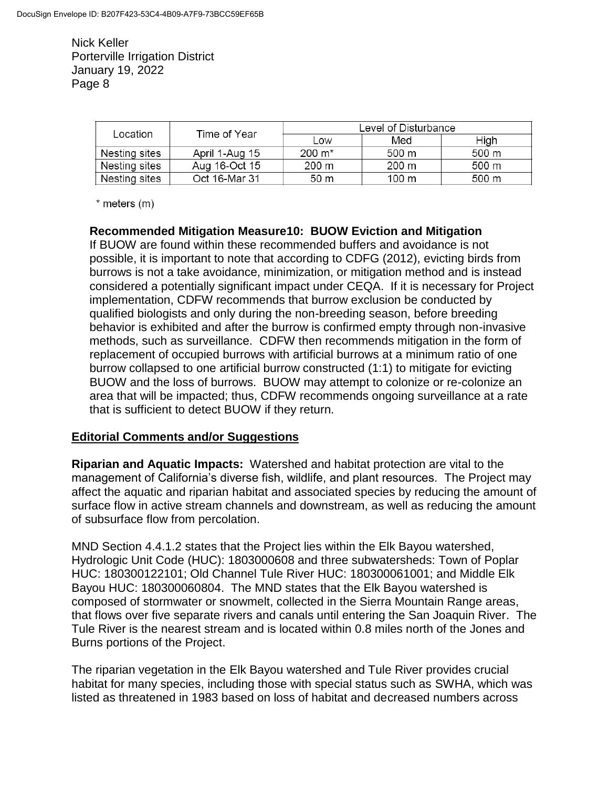| Location      | Time of Year   | Level of Disturbance |       |       |
|---------------|----------------|----------------------|-------|-------|
|               |                | Low                  | Med   | High  |
| Nesting sites | April 1-Aug 15 | $200 \; \text{m}^*$  | 500 m | 500 m |
| Nesting sites | Aug 16-Oct 15  | 200 m                | 200 m | 500 m |
| Nesting sites | Oct 16-Mar 31  | 50 m                 | 100 m | 500 m |

 $*$  meters  $(m)$ 

### **Recommended Mitigation Measure10: BUOW Eviction and Mitigation**

If BUOW are found within these recommended buffers and avoidance is not possible, it is important to note that according to CDFG (2012), evicting birds from burrows is not a take avoidance, minimization, or mitigation method and is instead considered a potentially significant impact under CEQA. If it is necessary for Project implementation, CDFW recommends that burrow exclusion be conducted by qualified biologists and only during the non-breeding season, before breeding behavior is exhibited and after the burrow is confirmed empty through non-invasive methods, such as surveillance. CDFW then recommends mitigation in the form of replacement of occupied burrows with artificial burrows at a minimum ratio of one burrow collapsed to one artificial burrow constructed (1:1) to mitigate for evicting BUOW and the loss of burrows. BUOW may attempt to colonize or re-colonize an area that will be impacted; thus, CDFW recommends ongoing surveillance at a rate that is sufficient to detect BUOW if they return.

### **Editorial Comments and/or Suggestions**

**Riparian and Aquatic Impacts:** Watershed and habitat protection are vital to the management of California's diverse fish, wildlife, and plant resources. The Project may affect the aquatic and riparian habitat and associated species by reducing the amount of surface flow in active stream channels and downstream, as well as reducing the amount of subsurface flow from percolation.

MND Section 4.4.1.2 states that the Project lies within the Elk Bayou watershed, Hydrologic Unit Code (HUC): 1803000608 and three subwatersheds: Town of Poplar HUC: 180300122101; Old Channel Tule River HUC: 180300061001; and Middle Elk Bayou HUC: 180300060804. The MND states that the Elk Bayou watershed is composed of stormwater or snowmelt, collected in the Sierra Mountain Range areas, that flows over five separate rivers and canals until entering the San Joaquin River. The Tule River is the nearest stream and is located within 0.8 miles north of the Jones and Burns portions of the Project.

The riparian vegetation in the Elk Bayou watershed and Tule River provides crucial habitat for many species, including those with special status such as SWHA, which was listed as threatened in 1983 based on loss of habitat and decreased numbers across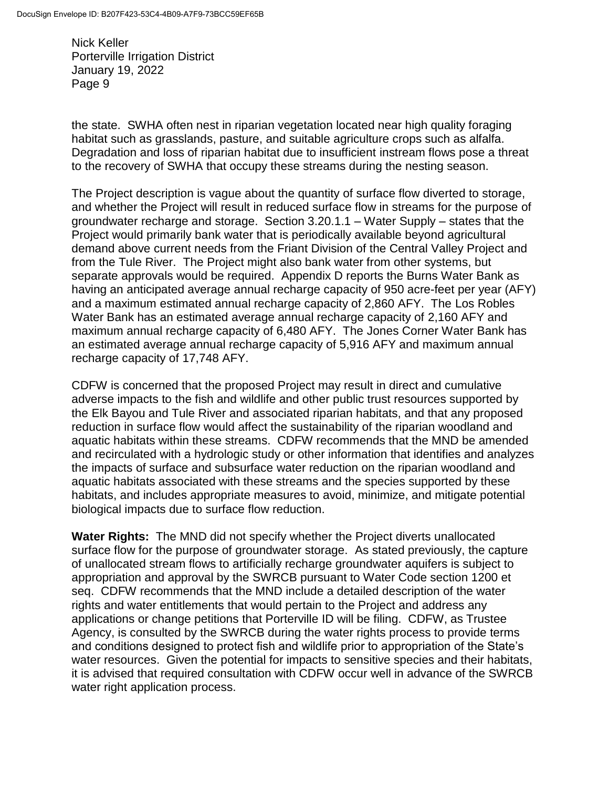the state. SWHA often nest in riparian vegetation located near high quality foraging habitat such as grasslands, pasture, and suitable agriculture crops such as alfalfa. Degradation and loss of riparian habitat due to insufficient instream flows pose a threat to the recovery of SWHA that occupy these streams during the nesting season.

The Project description is vague about the quantity of surface flow diverted to storage, and whether the Project will result in reduced surface flow in streams for the purpose of groundwater recharge and storage. Section 3.20.1.1 – Water Supply – states that the Project would primarily bank water that is periodically available beyond agricultural demand above current needs from the Friant Division of the Central Valley Project and from the Tule River. The Project might also bank water from other systems, but separate approvals would be required. Appendix D reports the Burns Water Bank as having an anticipated average annual recharge capacity of 950 acre-feet per year (AFY) and a maximum estimated annual recharge capacity of 2,860 AFY. The Los Robles Water Bank has an estimated average annual recharge capacity of 2,160 AFY and maximum annual recharge capacity of 6,480 AFY. The Jones Corner Water Bank has an estimated average annual recharge capacity of 5,916 AFY and maximum annual recharge capacity of 17,748 AFY.

CDFW is concerned that the proposed Project may result in direct and cumulative adverse impacts to the fish and wildlife and other public trust resources supported by the Elk Bayou and Tule River and associated riparian habitats, and that any proposed reduction in surface flow would affect the sustainability of the riparian woodland and aquatic habitats within these streams. CDFW recommends that the MND be amended and recirculated with a hydrologic study or other information that identifies and analyzes the impacts of surface and subsurface water reduction on the riparian woodland and aquatic habitats associated with these streams and the species supported by these habitats, and includes appropriate measures to avoid, minimize, and mitigate potential biological impacts due to surface flow reduction.

**Water Rights:** The MND did not specify whether the Project diverts unallocated surface flow for the purpose of groundwater storage. As stated previously, the capture of unallocated stream flows to artificially recharge groundwater aquifers is subject to appropriation and approval by the SWRCB pursuant to Water Code section 1200 et seq. CDFW recommends that the MND include a detailed description of the water rights and water entitlements that would pertain to the Project and address any applications or change petitions that Porterville ID will be filing. CDFW, as Trustee Agency, is consulted by the SWRCB during the water rights process to provide terms and conditions designed to protect fish and wildlife prior to appropriation of the State's water resources. Given the potential for impacts to sensitive species and their habitats, it is advised that required consultation with CDFW occur well in advance of the SWRCB water right application process.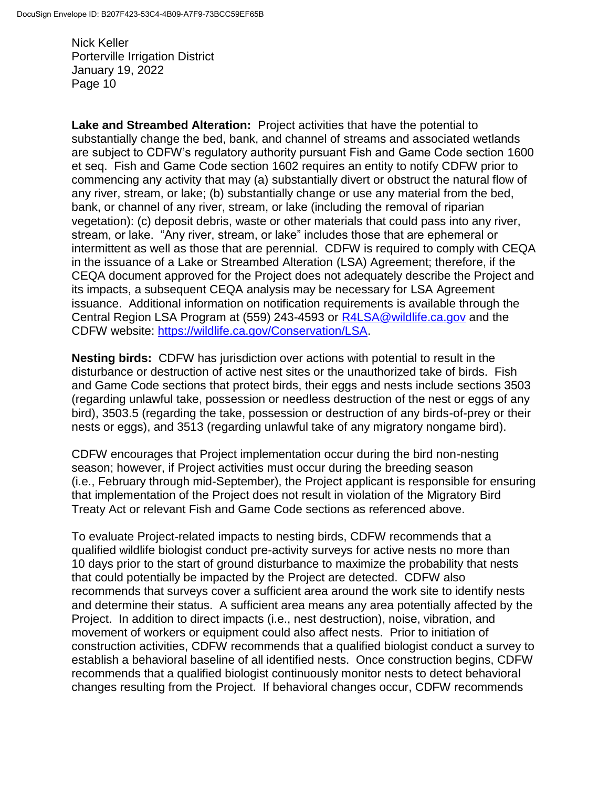**Lake and Streambed Alteration:** Project activities that have the potential to substantially change the bed, bank, and channel of streams and associated wetlands are subject to CDFW's regulatory authority pursuant Fish and Game Code section 1600 et seq. Fish and Game Code section 1602 requires an entity to notify CDFW prior to commencing any activity that may (a) substantially divert or obstruct the natural flow of any river, stream, or lake; (b) substantially change or use any material from the bed, bank, or channel of any river, stream, or lake (including the removal of riparian vegetation): (c) deposit debris, waste or other materials that could pass into any river, stream, or lake. "Any river, stream, or lake" includes those that are ephemeral or intermittent as well as those that are perennial. CDFW is required to comply with CEQA in the issuance of a Lake or Streambed Alteration (LSA) Agreement; therefore, if the CEQA document approved for the Project does not adequately describe the Project and its impacts, a subsequent CEQA analysis may be necessary for LSA Agreement issuance. Additional information on notification requirements is available through the Central Region LSA Program at (559) 243-4593 or **R4LSA@wildlife.ca.gov** and the CDFW website: [https://wildlife.ca.gov/Conservation/LSA.](https://wildlife.ca.gov/Conservation/LSA)

**Nesting birds:** CDFW has jurisdiction over actions with potential to result in the disturbance or destruction of active nest sites or the unauthorized take of birds. Fish and Game Code sections that protect birds, their eggs and nests include sections 3503 (regarding unlawful take, possession or needless destruction of the nest or eggs of any bird), 3503.5 (regarding the take, possession or destruction of any birds-of-prey or their nests or eggs), and 3513 (regarding unlawful take of any migratory nongame bird).

CDFW encourages that Project implementation occur during the bird non-nesting season; however, if Project activities must occur during the breeding season (i.e., February through mid-September), the Project applicant is responsible for ensuring that implementation of the Project does not result in violation of the Migratory Bird Treaty Act or relevant Fish and Game Code sections as referenced above.

To evaluate Project-related impacts to nesting birds, CDFW recommends that a qualified wildlife biologist conduct pre-activity surveys for active nests no more than 10 days prior to the start of ground disturbance to maximize the probability that nests that could potentially be impacted by the Project are detected. CDFW also recommends that surveys cover a sufficient area around the work site to identify nests and determine their status. A sufficient area means any area potentially affected by the Project. In addition to direct impacts (i.e., nest destruction), noise, vibration, and movement of workers or equipment could also affect nests. Prior to initiation of construction activities, CDFW recommends that a qualified biologist conduct a survey to establish a behavioral baseline of all identified nests. Once construction begins, CDFW recommends that a qualified biologist continuously monitor nests to detect behavioral changes resulting from the Project. If behavioral changes occur, CDFW recommends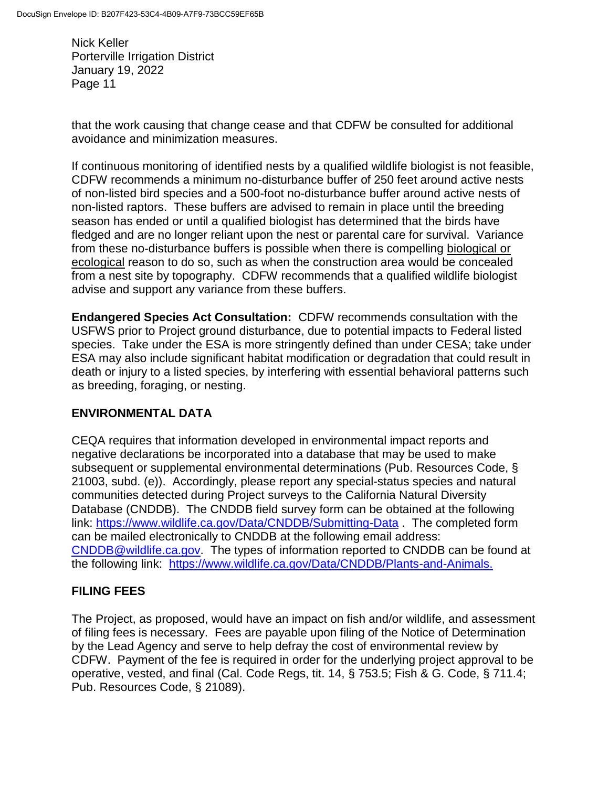that the work causing that change cease and that CDFW be consulted for additional avoidance and minimization measures.

If continuous monitoring of identified nests by a qualified wildlife biologist is not feasible, CDFW recommends a minimum no-disturbance buffer of 250 feet around active nests of non-listed bird species and a 500-foot no-disturbance buffer around active nests of non-listed raptors. These buffers are advised to remain in place until the breeding season has ended or until a qualified biologist has determined that the birds have fledged and are no longer reliant upon the nest or parental care for survival. Variance from these no-disturbance buffers is possible when there is compelling biological or ecological reason to do so, such as when the construction area would be concealed from a nest site by topography. CDFW recommends that a qualified wildlife biologist advise and support any variance from these buffers.

**Endangered Species Act Consultation:** CDFW recommends consultation with the USFWS prior to Project ground disturbance, due to potential impacts to Federal listed species. Take under the ESA is more stringently defined than under CESA; take under ESA may also include significant habitat modification or degradation that could result in death or injury to a listed species, by interfering with essential behavioral patterns such as breeding, foraging, or nesting.

### **ENVIRONMENTAL DATA**

CEQA requires that information developed in environmental impact reports and negative declarations be incorporated into a database that may be used to make subsequent or supplemental environmental determinations (Pub. Resources Code, § 21003, subd. (e)). Accordingly, please report any special-status species and natural communities detected during Project surveys to the California Natural Diversity Database (CNDDB). The CNDDB field survey form can be obtained at the following link:<https://www.wildlife.ca.gov/Data/CNDDB/Submitting-Data> . The completed form can be mailed electronically to CNDDB at the following email address: [CNDDB@wildlife.ca.gov.](mailto:cnddb@dfg.ca.gov) The types of information reported to CNDDB can be found at the following link: [https://www.wildlife.ca.gov/Data/CNDDB/Plants-and-Animals.](https://www.wildlife.ca.gov/Data/CNDDB/Plants-and-Animals)

# **FILING FEES**

The Project, as proposed, would have an impact on fish and/or wildlife, and assessment of filing fees is necessary. Fees are payable upon filing of the Notice of Determination by the Lead Agency and serve to help defray the cost of environmental review by CDFW. Payment of the fee is required in order for the underlying project approval to be operative, vested, and final (Cal. Code Regs, tit. 14, § 753.5; Fish & G. Code, § 711.4; Pub. Resources Code, § 21089).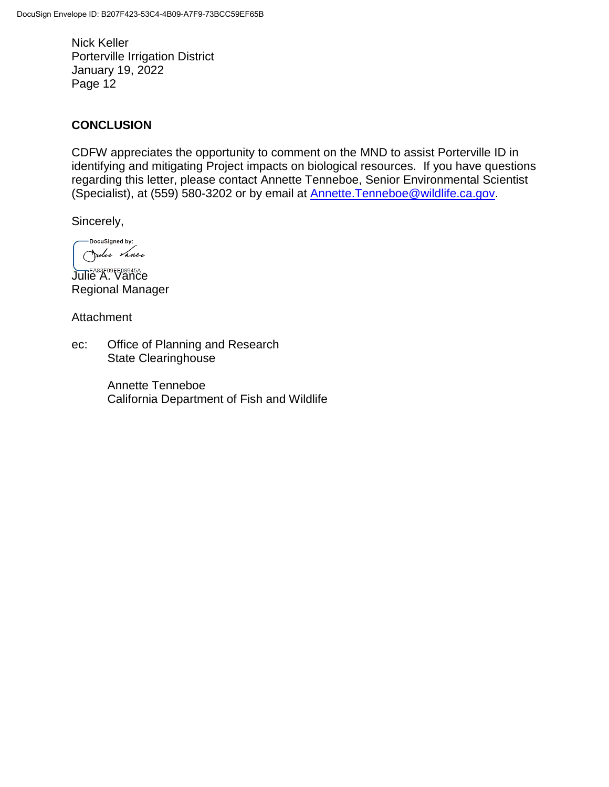### **CONCLUSION**

CDFW appreciates the opportunity to comment on the MND to assist Porterville ID in identifying and mitigating Project impacts on biological resources. If you have questions regarding this letter, please contact Annette Tenneboe, Senior Environmental Scientist (Specialist), at (559) 580-3202 or by email at [Annette.Tenneboe@wildlife.ca.gov.](mailto:Annette.Tenneboe@wildlife.ca.gov)

Sincerely,

DocuSigned by: Julie Vance

Julie A. Vance Regional Manager

**Attachment** 

ec: Office of Planning and Research State Clearinghouse

> Annette Tenneboe California Department of Fish and Wildlife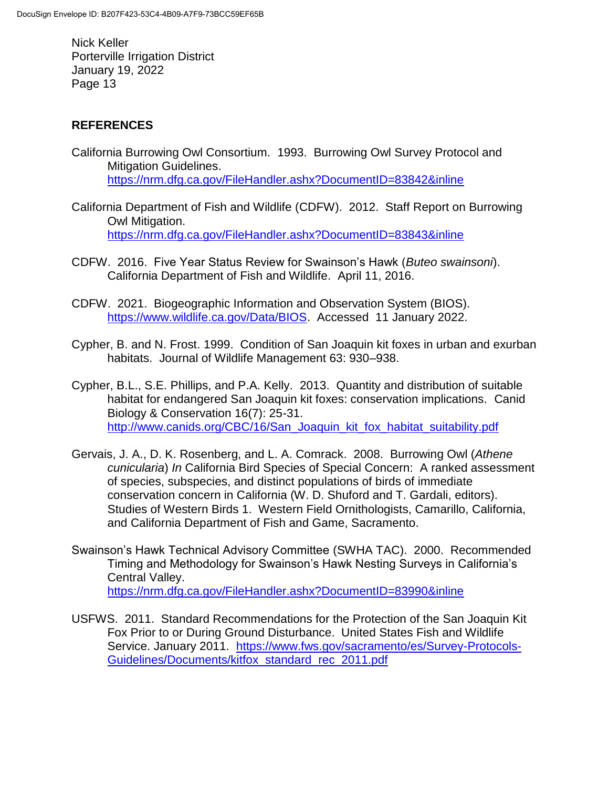# **REFERENCES**

- California Burrowing Owl Consortium. 1993. Burrowing Owl Survey Protocol and Mitigation Guidelines. <https://nrm.dfg.ca.gov/FileHandler.ashx?DocumentID=83842&inline>
- California Department of Fish and Wildlife (CDFW). 2012. Staff Report on Burrowing Owl Mitigation. <https://nrm.dfg.ca.gov/FileHandler.ashx?DocumentID=83843&inline>
- CDFW. 2016. Five Year Status Review for Swainson's Hawk (*Buteo swainsoni*). California Department of Fish and Wildlife. April 11, 2016.
- CDFW. 2021. Biogeographic Information and Observation System (BIOS). [https://www.wildlife.ca.gov/Data/BIOS.](https://www.wildlife.ca.gov/Data/BIOS) Accessed 11 January 2022.
- Cypher, B. and N. Frost. 1999. Condition of San Joaquin kit foxes in urban and exurban habitats. Journal of Wildlife Management 63: 930–938.
- Cypher, B.L., S.E. Phillips, and P.A. Kelly. 2013. Quantity and distribution of suitable habitat for endangered San Joaquin kit foxes: conservation implications. Canid Biology & Conservation 16(7): 25-31. [http://www.canids.org/CBC/16/San\\_Joaquin\\_kit\\_fox\\_habitat\\_suitability.pdf](http://www.canids.org/CBC/16/San_Joaquin_kit_fox_habitat_suitability.pdf)
- Gervais, J. A., D. K. Rosenberg, and L. A. Comrack. 2008. Burrowing Owl (*Athene cunicularia*) *In* California Bird Species of Special Concern: A ranked assessment of species, subspecies, and distinct populations of birds of immediate conservation concern in California (W. D. Shuford and T. Gardali, editors). Studies of Western Birds 1. Western Field Ornithologists, Camarillo, California, and California Department of Fish and Game, Sacramento.
- Swainson's Hawk Technical Advisory Committee (SWHA TAC). 2000. Recommended Timing and Methodology for Swainson's Hawk Nesting Surveys in California's Central Valley. <https://nrm.dfg.ca.gov/FileHandler.ashx?DocumentID=83990&inline>
- USFWS. 2011. Standard Recommendations for the Protection of the San Joaquin Kit Fox Prior to or During Ground Disturbance. United States Fish and Wildlife Service. January 2011. [https://www.fws.gov/sacramento/es/Survey-Protocols-](https://www.fws.gov/sacramento/es/Survey-Protocols-Guidelines/Documents/kitfox_standard_rec_2011.pdf)[Guidelines/Documents/kitfox\\_standard\\_rec\\_2011.pdf](https://www.fws.gov/sacramento/es/Survey-Protocols-Guidelines/Documents/kitfox_standard_rec_2011.pdf)